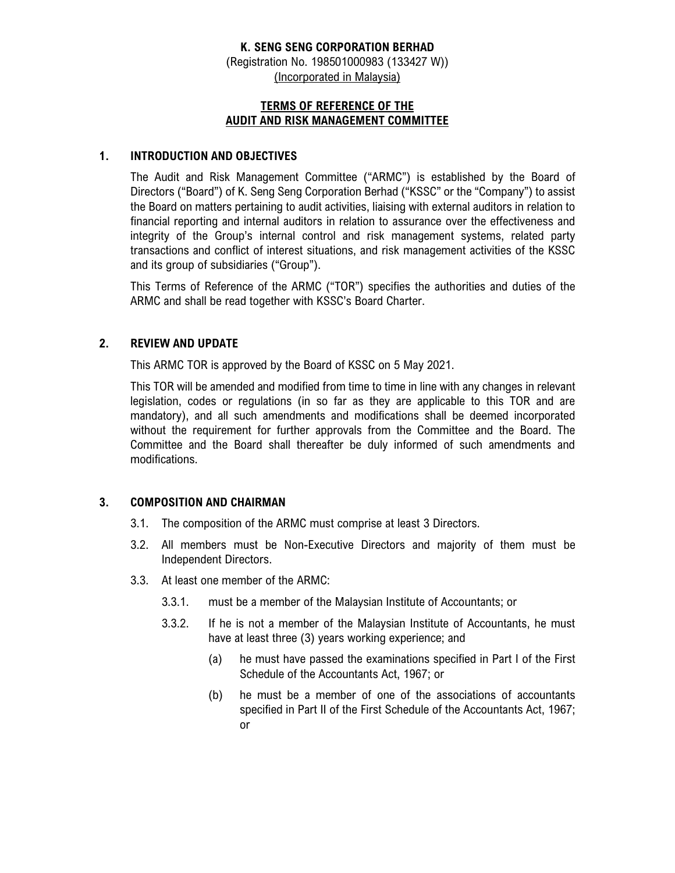# **K. SENG SENG CORPORATION BERHAD**

(Registration No. 198501000983 (133427 W)) (Incorporated in Malaysia)

#### **TERMS OF REFERENCE OF THE AUDIT AND RISK MANAGEMENT COMMITTEE**

#### **1. INTRODUCTION AND OBJECTIVES**

The Audit and Risk Management Committee ("ARMC") is established by the Board of Directors ("Board") of K. Seng Seng Corporation Berhad ("KSSC" or the "Company") to assist the Board on matters pertaining to audit activities, liaising with external auditors in relation to financial reporting and internal auditors in relation to assurance over the effectiveness and integrity of the Group's internal control and risk management systems, related party transactions and conflict of interest situations, and risk management activities of the KSSC and its group of subsidiaries ("Group").

This Terms of Reference of the ARMC ("TOR") specifies the authorities and duties of the ARMC and shall be read together with KSSC's Board Charter.

#### **2. REVIEW AND UPDATE**

This ARMC TOR is approved by the Board of KSSC on 5 May 2021.

This TOR will be amended and modified from time to time in line with any changes in relevant legislation, codes or regulations (in so far as they are applicable to this TOR and are mandatory), and all such amendments and modifications shall be deemed incorporated without the requirement for further approvals from the Committee and the Board. The Committee and the Board shall thereafter be duly informed of such amendments and modifications.

#### **3. COMPOSITION AND CHAIRMAN**

- 3.1. The composition of the ARMC must comprise at least 3 Directors.
- 3.2. All members must be Non-Executive Directors and majority of them must be Independent Directors.
- 3.3. At least one member of the ARMC:
	- 3.3.1. must be a member of the Malaysian Institute of Accountants; or
	- 3.3.2. If he is not a member of the Malaysian Institute of Accountants, he must have at least three (3) years working experience; and
		- (a) he must have passed the examinations specified in Part I of the First Schedule of the Accountants Act, 1967; or
		- (b) he must be a member of one of the associations of accountants specified in Part II of the First Schedule of the Accountants Act, 1967; or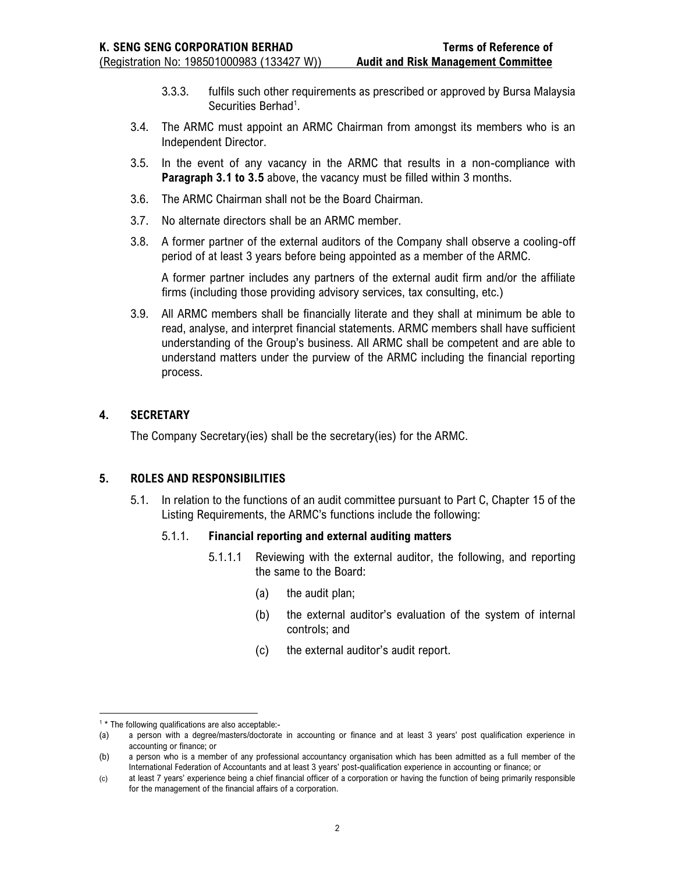- 3.3.3. fulfils such other requirements as prescribed or approved by Bursa Malaysia Securities Berhad<sup>1</sup>.
- 3.4. The ARMC must appoint an ARMC Chairman from amongst its members who is an Independent Director.
- 3.5. In the event of any vacancy in the ARMC that results in a non-compliance with **Paragraph 3.1 to 3.5** above, the vacancy must be filled within 3 months.
- 3.6. The ARMC Chairman shall not be the Board Chairman.
- 3.7. No alternate directors shall be an ARMC member.
- 3.8. A former partner of the external auditors of the Company shall observe a cooling-off period of at least 3 years before being appointed as a member of the ARMC.

A former partner includes any partners of the external audit firm and/or the affiliate firms (including those providing advisory services, tax consulting, etc.)

3.9. All ARMC members shall be financially literate and they shall at minimum be able to read, analyse, and interpret financial statements. ARMC members shall have sufficient understanding of the Group's business. All ARMC shall be competent and are able to understand matters under the purview of the ARMC including the financial reporting process.

# **4. SECRETARY**

The Company Secretary(ies) shall be the secretary(ies) for the ARMC.

# **5. ROLES AND RESPONSIBILITIES**

5.1. In relation to the functions of an audit committee pursuant to Part C, Chapter 15 of the Listing Requirements, the ARMC's functions include the following:

#### 5.1.1. **Financial reporting and external auditing matters**

- 5.1.1.1 Reviewing with the external auditor, the following, and reporting the same to the Board:
	- (a) the audit plan;
	- (b) the external auditor's evaluation of the system of internal controls; and
	- (c) the external auditor's audit report.

<sup>&</sup>lt;sup>1</sup> \* The following qualifications are also acceptable:-

<sup>(</sup>a) a person with a degree/masters/doctorate in accounting or finance and at least 3 years' post qualification experience in accounting or finance; or

<sup>(</sup>b) a person who is a member of any professional accountancy organisation which has been admitted as a full member of the International Federation of Accountants and at least 3 years' post-qualification experience in accounting or finance; or

<sup>(</sup>c) at least 7 years' experience being a chief financial officer of a corporation or having the function of being primarily responsible for the management of the financial affairs of a corporation.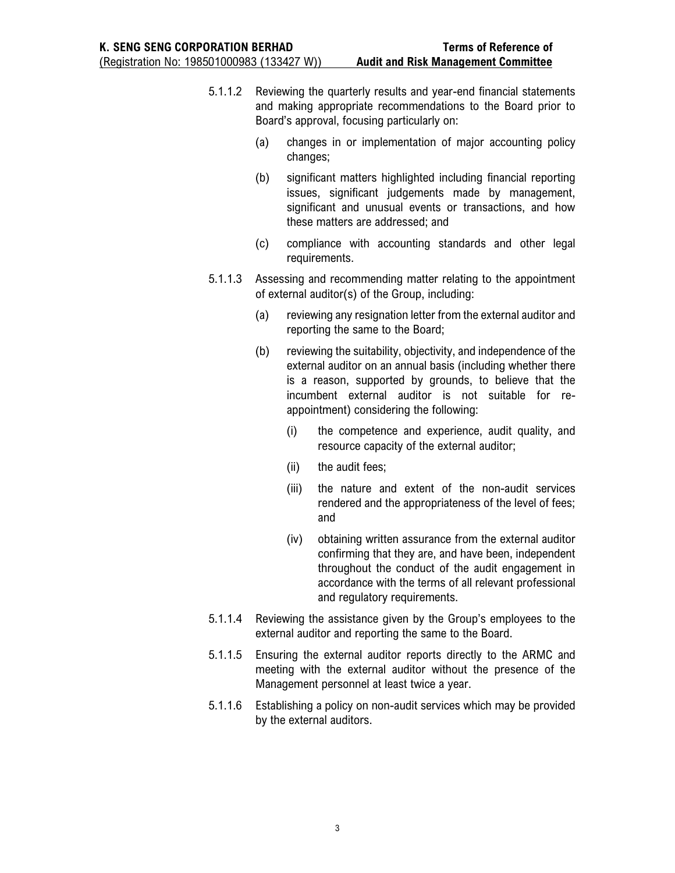- 5.1.1.2 Reviewing the quarterly results and year-end financial statements and making appropriate recommendations to the Board prior to Board's approval, focusing particularly on:
	- (a) changes in or implementation of major accounting policy changes;
	- (b) significant matters highlighted including financial reporting issues, significant judgements made by management, significant and unusual events or transactions, and how these matters are addressed; and
	- (c) compliance with accounting standards and other legal requirements.
- 5.1.1.3 Assessing and recommending matter relating to the appointment of external auditor(s) of the Group, including:
	- (a) reviewing any resignation letter from the external auditor and reporting the same to the Board;
	- (b) reviewing the suitability, objectivity, and independence of the external auditor on an annual basis (including whether there is a reason, supported by grounds, to believe that the incumbent external auditor is not suitable for reappointment) considering the following:
		- (i) the competence and experience, audit quality, and resource capacity of the external auditor;
		- (ii) the audit fees;
		- (iii) the nature and extent of the non-audit services rendered and the appropriateness of the level of fees; and
		- (iv) obtaining written assurance from the external auditor confirming that they are, and have been, independent throughout the conduct of the audit engagement in accordance with the terms of all relevant professional and regulatory requirements.
- 5.1.1.4 Reviewing the assistance given by the Group's employees to the external auditor and reporting the same to the Board.
- 5.1.1.5 Ensuring the external auditor reports directly to the ARMC and meeting with the external auditor without the presence of the Management personnel at least twice a year.
- 5.1.1.6 Establishing a policy on non-audit services which may be provided by the external auditors.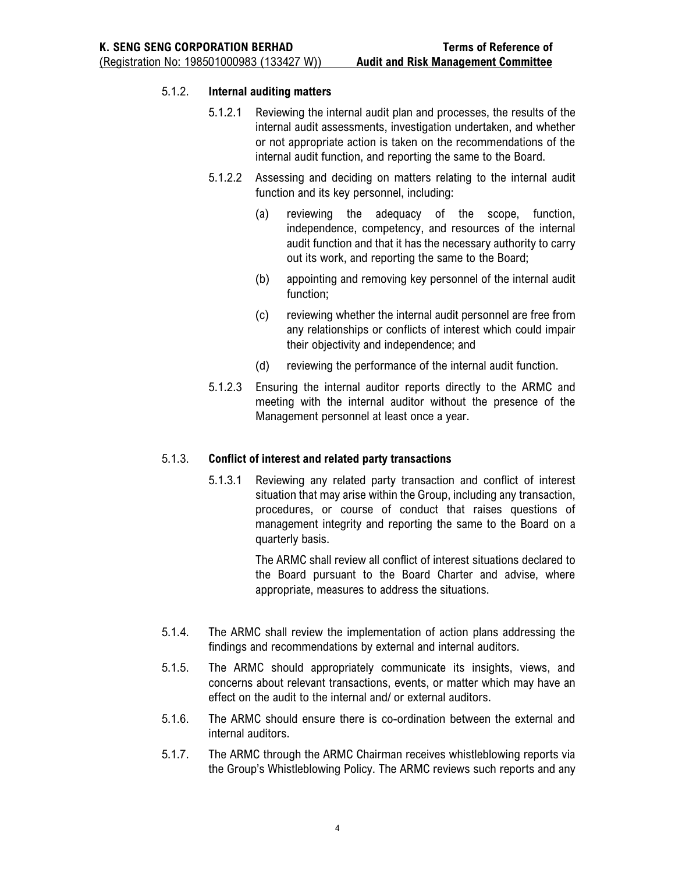### 5.1.2. **Internal auditing matters**

- 5.1.2.1 Reviewing the internal audit plan and processes, the results of the internal audit assessments, investigation undertaken, and whether or not appropriate action is taken on the recommendations of the internal audit function, and reporting the same to the Board.
- 5.1.2.2 Assessing and deciding on matters relating to the internal audit function and its key personnel, including:
	- (a) reviewing the adequacy of the scope, function, independence, competency, and resources of the internal audit function and that it has the necessary authority to carry out its work, and reporting the same to the Board;
	- (b) appointing and removing key personnel of the internal audit function;
	- (c) reviewing whether the internal audit personnel are free from any relationships or conflicts of interest which could impair their objectivity and independence; and
	- (d) reviewing the performance of the internal audit function.
- 5.1.2.3 Ensuring the internal auditor reports directly to the ARMC and meeting with the internal auditor without the presence of the Management personnel at least once a year.

# 5.1.3. **Conflict of interest and related party transactions**

5.1.3.1 Reviewing any related party transaction and conflict of interest situation that may arise within the Group, including any transaction, procedures, or course of conduct that raises questions of management integrity and reporting the same to the Board on a quarterly basis.

> The ARMC shall review all conflict of interest situations declared to the Board pursuant to the Board Charter and advise, where appropriate, measures to address the situations.

- 5.1.4. The ARMC shall review the implementation of action plans addressing the findings and recommendations by external and internal auditors.
- 5.1.5. The ARMC should appropriately communicate its insights, views, and concerns about relevant transactions, events, or matter which may have an effect on the audit to the internal and/ or external auditors.
- 5.1.6. The ARMC should ensure there is co-ordination between the external and internal auditors.
- 5.1.7. The ARMC through the ARMC Chairman receives whistleblowing reports via the Group's Whistleblowing Policy. The ARMC reviews such reports and any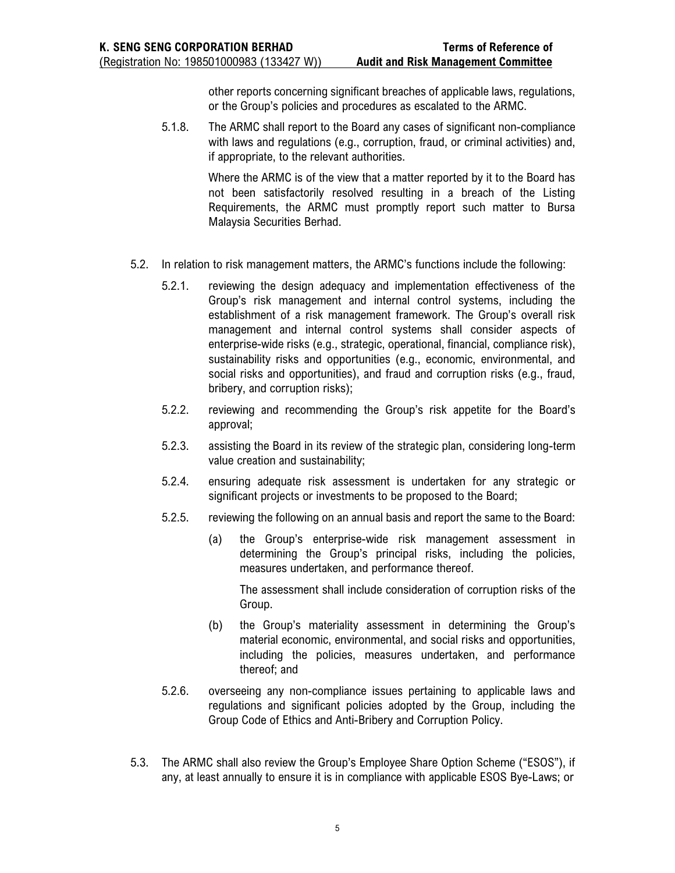other reports concerning significant breaches of applicable laws, regulations, or the Group's policies and procedures as escalated to the ARMC.

5.1.8. The ARMC shall report to the Board any cases of significant non-compliance with laws and regulations (e.g., corruption, fraud, or criminal activities) and, if appropriate, to the relevant authorities.

> Where the ARMC is of the view that a matter reported by it to the Board has not been satisfactorily resolved resulting in a breach of the Listing Requirements, the ARMC must promptly report such matter to Bursa Malaysia Securities Berhad.

- 5.2. In relation to risk management matters, the ARMC's functions include the following:
	- 5.2.1. reviewing the design adequacy and implementation effectiveness of the Group's risk management and internal control systems, including the establishment of a risk management framework. The Group's overall risk management and internal control systems shall consider aspects of enterprise-wide risks (e.g., strategic, operational, financial, compliance risk), sustainability risks and opportunities (e.g., economic, environmental, and social risks and opportunities), and fraud and corruption risks (e.g., fraud, bribery, and corruption risks);
	- 5.2.2. reviewing and recommending the Group's risk appetite for the Board's approval;
	- 5.2.3. assisting the Board in its review of the strategic plan, considering long-term value creation and sustainability;
	- 5.2.4. ensuring adequate risk assessment is undertaken for any strategic or significant projects or investments to be proposed to the Board;
	- 5.2.5. reviewing the following on an annual basis and report the same to the Board:
		- (a) the Group's enterprise-wide risk management assessment in determining the Group's principal risks, including the policies, measures undertaken, and performance thereof.

The assessment shall include consideration of corruption risks of the Group.

- (b) the Group's materiality assessment in determining the Group's material economic, environmental, and social risks and opportunities, including the policies, measures undertaken, and performance thereof; and
- 5.2.6. overseeing any non-compliance issues pertaining to applicable laws and regulations and significant policies adopted by the Group, including the Group Code of Ethics and Anti-Bribery and Corruption Policy.
- 5.3. The ARMC shall also review the Group's Employee Share Option Scheme ("ESOS"), if any, at least annually to ensure it is in compliance with applicable ESOS Bye-Laws; or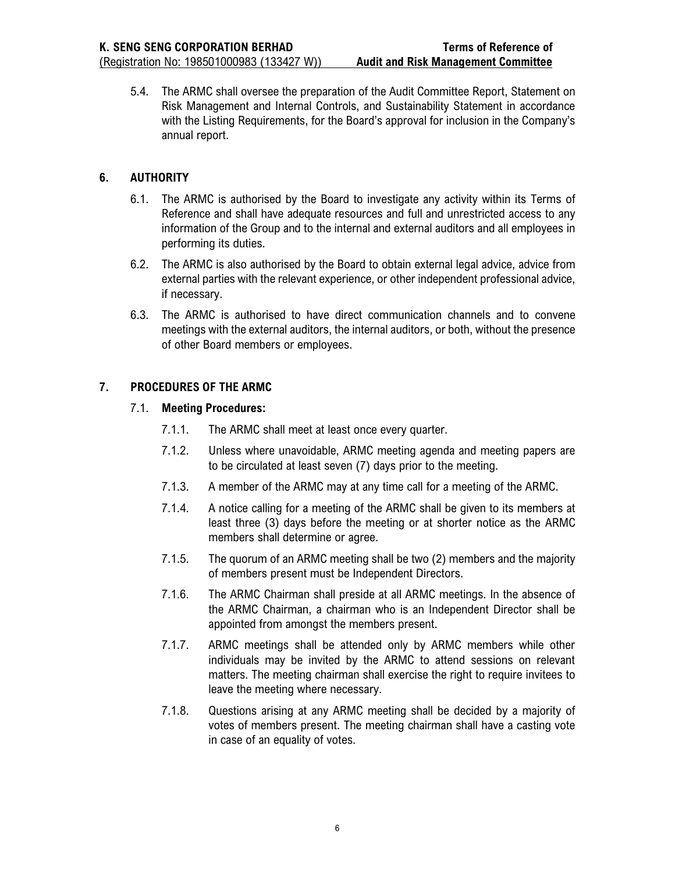5.4. The ARMC shall oversee the preparation of the Audit Committee Report, Statement on Risk Management and Internal Controls, and Sustainability Statement in accordance with the Listing Requirements, for the Board's approval for inclusion in the Company's annual report.

# **6. AUTHORITY**

- 6.1. The ARMC is authorised by the Board to investigate any activity within its Terms of Reference and shall have adequate resources and full and unrestricted access to any information of the Group and to the internal and external auditors and all employees in performing its duties.
- 6.2. The ARMC is also authorised by the Board to obtain external legal advice, advice from external parties with the relevant experience, or other independent professional advice, if necessary.
- 6.3. The ARMC is authorised to have direct communication channels and to convene meetings with the external auditors, the internal auditors, or both, without the presence of other Board members or employees.

# **7. PROCEDURES OF THE ARMC**

### 7.1. **Meeting Procedures:**

- 7.1.1. The ARMC shall meet at least once every quarter.
- 7.1.2. Unless where unavoidable, ARMC meeting agenda and meeting papers are to be circulated at least seven (7) days prior to the meeting.
- 7.1.3. A member of the ARMC may at any time call for a meeting of the ARMC.
- 7.1.4. A notice calling for a meeting of the ARMC shall be given to its members at least three (3) days before the meeting or at shorter notice as the ARMC members shall determine or agree.
- 7.1.5. The quorum of an ARMC meeting shall be two (2) members and the majority of members present must be Independent Directors.
- 7.1.6. The ARMC Chairman shall preside at all ARMC meetings. In the absence of the ARMC Chairman, a chairman who is an Independent Director shall be appointed from amongst the members present.
- 7.1.7. ARMC meetings shall be attended only by ARMC members while other individuals may be invited by the ARMC to attend sessions on relevant matters. The meeting chairman shall exercise the right to require invitees to leave the meeting where necessary.
- 7.1.8. Questions arising at any ARMC meeting shall be decided by a majority of votes of members present. The meeting chairman shall have a casting vote in case of an equality of votes.